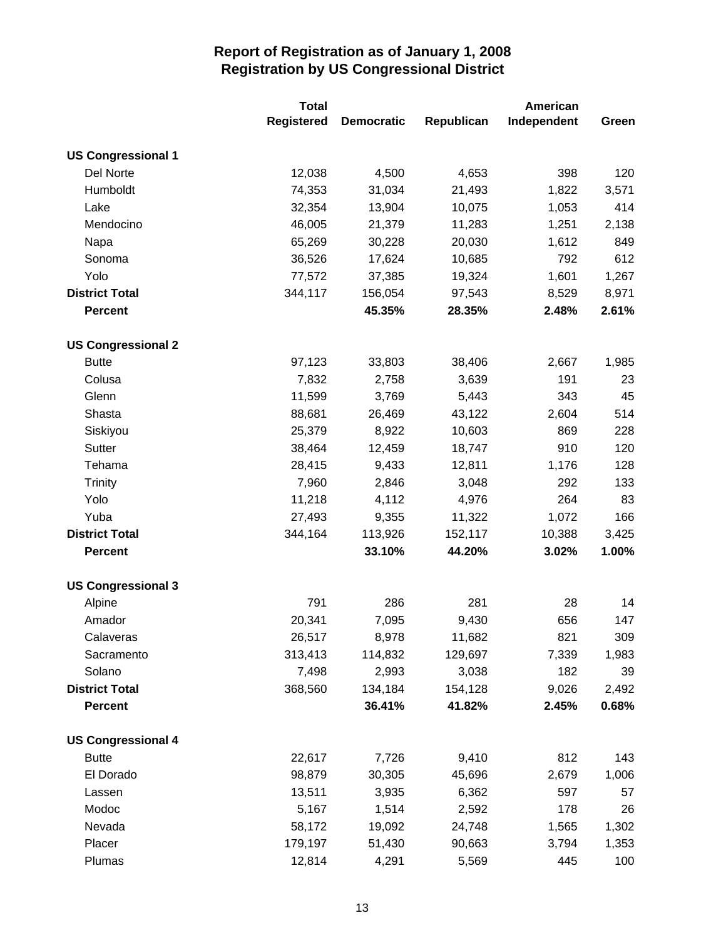|                           | <b>Total</b>      |                   |            | American    |       |  |
|---------------------------|-------------------|-------------------|------------|-------------|-------|--|
|                           | <b>Registered</b> | <b>Democratic</b> | Republican | Independent | Green |  |
| <b>US Congressional 1</b> |                   |                   |            |             |       |  |
| Del Norte                 | 12,038            | 4,500             | 4,653      | 398         | 120   |  |
| Humboldt                  | 74,353            | 31,034            | 21,493     | 1,822       | 3,571 |  |
| Lake                      | 32,354            | 13,904            | 10,075     | 1,053       | 414   |  |
| Mendocino                 | 46,005            | 21,379            | 11,283     | 1,251       | 2,138 |  |
| Napa                      | 65,269            | 30,228            | 20,030     | 1,612       | 849   |  |
| Sonoma                    | 36,526            | 17,624            | 10,685     | 792         | 612   |  |
| Yolo                      | 77,572            | 37,385            | 19,324     | 1,601       | 1,267 |  |
| <b>District Total</b>     | 344,117           | 156,054           | 97,543     | 8,529       | 8,971 |  |
| <b>Percent</b>            |                   | 45.35%            | 28.35%     | 2.48%       | 2.61% |  |
| <b>US Congressional 2</b> |                   |                   |            |             |       |  |
| <b>Butte</b>              | 97,123            | 33,803            | 38,406     | 2,667       | 1,985 |  |
| Colusa                    | 7,832             | 2,758             | 3,639      | 191         | 23    |  |
| Glenn                     | 11,599            | 3,769             | 5,443      | 343         | 45    |  |
| Shasta                    | 88,681            | 26,469            | 43,122     | 2,604       | 514   |  |
| Siskiyou                  | 25,379            | 8,922             | 10,603     | 869         | 228   |  |
| Sutter                    | 38,464            | 12,459            | 18,747     | 910         | 120   |  |
| Tehama                    | 28,415            | 9,433             | 12,811     | 1,176       | 128   |  |
| <b>Trinity</b>            | 7,960             | 2,846             | 3,048      | 292         | 133   |  |
| Yolo                      | 11,218            | 4,112             | 4,976      | 264         | 83    |  |
| Yuba                      | 27,493            | 9,355             | 11,322     | 1,072       | 166   |  |
| <b>District Total</b>     | 344,164           | 113,926           | 152,117    | 10,388      | 3,425 |  |
| <b>Percent</b>            |                   | 33.10%            | 44.20%     | 3.02%       | 1.00% |  |
| <b>US Congressional 3</b> |                   |                   |            |             |       |  |
| Alpine                    | 791               | 286               | 281        | 28          | 14    |  |
| Amador                    | 20,341            | 7,095             | 9,430      | 656         | 147   |  |
| Calaveras                 | 26,517            | 8,978             | 11,682     | 821         | 309   |  |
| Sacramento                | 313,413           | 114,832           | 129,697    | 7,339       | 1,983 |  |
| Solano                    | 7,498             | 2,993             | 3,038      | 182         | 39    |  |
| <b>District Total</b>     | 368,560           | 134,184           | 154,128    | 9,026       | 2,492 |  |
| <b>Percent</b>            |                   | 36.41%            | 41.82%     | 2.45%       | 0.68% |  |
| <b>US Congressional 4</b> |                   |                   |            |             |       |  |
| <b>Butte</b>              | 22,617            | 7,726             | 9,410      | 812         | 143   |  |
| El Dorado                 | 98,879            | 30,305            | 45,696     | 2,679       | 1,006 |  |
| Lassen                    | 13,511            | 3,935             | 6,362      | 597         | 57    |  |
| Modoc                     | 5,167             | 1,514             | 2,592      | 178         | 26    |  |
| Nevada                    | 58,172            | 19,092            | 24,748     | 1,565       | 1,302 |  |
| Placer                    | 179,197           | 51,430            | 90,663     | 3,794       | 1,353 |  |
| Plumas                    | 12,814            | 4,291             | 5,569      | 445         | 100   |  |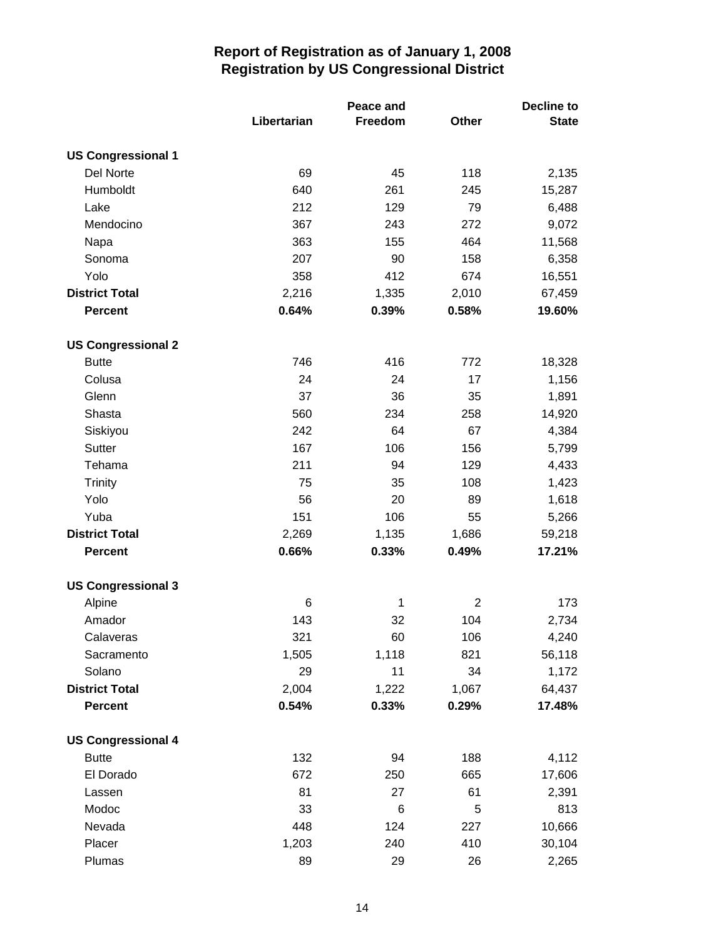|                           | Libertarian | Peace and<br>Freedom | Other          | Decline to<br><b>State</b> |
|---------------------------|-------------|----------------------|----------------|----------------------------|
| <b>US Congressional 1</b> |             |                      |                |                            |
| Del Norte                 | 69          | 45                   | 118            | 2,135                      |
| Humboldt                  | 640         | 261                  | 245            | 15,287                     |
| Lake                      | 212         | 129                  | 79             | 6,488                      |
| Mendocino                 | 367         | 243                  | 272            | 9,072                      |
| Napa                      | 363         | 155                  | 464            | 11,568                     |
| Sonoma                    | 207         | 90                   | 158            | 6,358                      |
| Yolo                      | 358         | 412                  | 674            | 16,551                     |
| <b>District Total</b>     | 2,216       | 1,335                | 2,010          | 67,459                     |
| <b>Percent</b>            | 0.64%       | 0.39%                | 0.58%          | 19.60%                     |
| <b>US Congressional 2</b> |             |                      |                |                            |
| <b>Butte</b>              | 746         | 416                  | 772            | 18,328                     |
| Colusa                    | 24          | 24                   | 17             | 1,156                      |
| Glenn                     | 37          | 36                   | 35             | 1,891                      |
| Shasta                    | 560         | 234                  | 258            | 14,920                     |
| Siskiyou                  | 242         | 64                   | 67             | 4,384                      |
| Sutter                    | 167         | 106                  | 156            | 5,799                      |
| Tehama                    | 211         | 94                   | 129            | 4,433                      |
| <b>Trinity</b>            | 75          | 35                   | 108            | 1,423                      |
| Yolo                      | 56          | 20                   | 89             | 1,618                      |
| Yuba                      | 151         | 106                  | 55             | 5,266                      |
| <b>District Total</b>     | 2,269       | 1,135                | 1,686          | 59,218                     |
| <b>Percent</b>            | 0.66%       | 0.33%                | 0.49%          | 17.21%                     |
| <b>US Congressional 3</b> |             |                      |                |                            |
| Alpine                    | 6           | 1                    | $\overline{2}$ | 173                        |
| Amador                    | 143         | 32                   | 104            | 2,734                      |
| Calaveras                 | 321         | 60                   | 106            | 4,240                      |
| Sacramento                | 1,505       | 1,118                | 821            | 56,118                     |
| Solano                    | 29          | 11                   | 34             | 1,172                      |
| <b>District Total</b>     | 2,004       | 1,222                | 1,067          | 64,437                     |
| <b>Percent</b>            | 0.54%       | 0.33%                | 0.29%          | 17.48%                     |
| <b>US Congressional 4</b> |             |                      |                |                            |
| <b>Butte</b>              | 132         | 94                   | 188            | 4,112                      |
| El Dorado                 | 672         | 250                  | 665            | 17,606                     |
| Lassen                    | 81          | 27                   | 61             | 2,391                      |
| Modoc                     | 33          | 6                    | $\,$ 5 $\,$    | 813                        |
| Nevada                    | 448         | 124                  | 227            | 10,666                     |
| Placer                    | 1,203       | 240                  | 410            | 30,104                     |
| Plumas                    | 89          | 29                   | 26             | 2,265                      |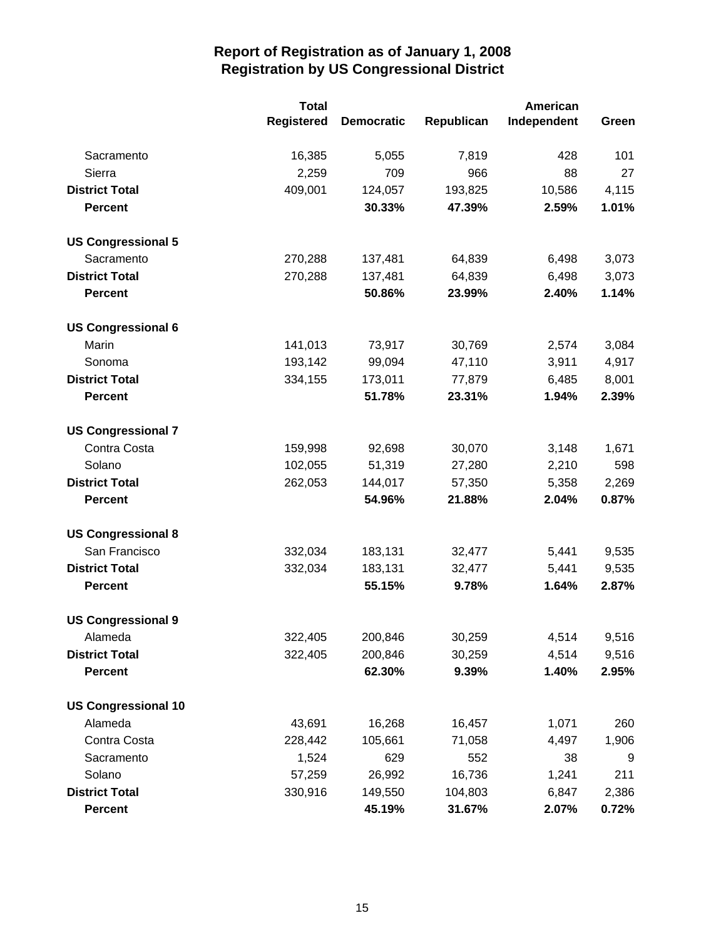|                            | <b>Total</b>      |                   |            | American    |       |
|----------------------------|-------------------|-------------------|------------|-------------|-------|
|                            | <b>Registered</b> | <b>Democratic</b> | Republican | Independent | Green |
| Sacramento                 | 16,385            | 5,055             | 7,819      | 428         | 101   |
| Sierra                     | 2,259             | 709               | 966        | 88          | 27    |
| <b>District Total</b>      | 409,001           | 124,057           | 193,825    | 10,586      | 4,115 |
| <b>Percent</b>             |                   | 30.33%            | 47.39%     | 2.59%       | 1.01% |
| <b>US Congressional 5</b>  |                   |                   |            |             |       |
| Sacramento                 | 270,288           | 137,481           | 64,839     | 6,498       | 3,073 |
| <b>District Total</b>      | 270,288           | 137,481           | 64,839     | 6,498       | 3,073 |
| <b>Percent</b>             |                   | 50.86%            | 23.99%     | 2.40%       | 1.14% |
| <b>US Congressional 6</b>  |                   |                   |            |             |       |
| Marin                      | 141,013           | 73,917            | 30,769     | 2,574       | 3,084 |
| Sonoma                     | 193,142           | 99,094            | 47,110     | 3,911       | 4,917 |
| <b>District Total</b>      | 334,155           | 173,011           | 77,879     | 6,485       | 8,001 |
| <b>Percent</b>             |                   | 51.78%            | 23.31%     | 1.94%       | 2.39% |
| <b>US Congressional 7</b>  |                   |                   |            |             |       |
| Contra Costa               | 159,998           | 92,698            | 30,070     | 3,148       | 1,671 |
| Solano                     | 102,055           | 51,319            | 27,280     | 2,210       | 598   |
| <b>District Total</b>      | 262,053           | 144,017           | 57,350     | 5,358       | 2,269 |
| <b>Percent</b>             |                   | 54.96%            | 21.88%     | 2.04%       | 0.87% |
| <b>US Congressional 8</b>  |                   |                   |            |             |       |
| San Francisco              | 332,034           | 183,131           | 32,477     | 5,441       | 9,535 |
| <b>District Total</b>      | 332,034           | 183,131           | 32,477     | 5,441       | 9,535 |
| <b>Percent</b>             |                   | 55.15%            | 9.78%      | 1.64%       | 2.87% |
| <b>US Congressional 9</b>  |                   |                   |            |             |       |
| Alameda                    | 322,405           | 200,846           | 30,259     | 4,514       | 9,516 |
| <b>District Total</b>      | 322,405           | 200,846           | 30,259     | 4,514       | 9,516 |
| <b>Percent</b>             |                   | 62.30%            | 9.39%      | 1.40%       | 2.95% |
| <b>US Congressional 10</b> |                   |                   |            |             |       |
| Alameda                    | 43,691            | 16,268            | 16,457     | 1,071       | 260   |
| Contra Costa               | 228,442           | 105,661           | 71,058     | 4,497       | 1,906 |
| Sacramento                 | 1,524             | 629               | 552        | 38          | 9     |
| Solano                     | 57,259            | 26,992            | 16,736     | 1,241       | 211   |
| <b>District Total</b>      | 330,916           | 149,550           | 104,803    | 6,847       | 2,386 |
| <b>Percent</b>             |                   | 45.19%            | 31.67%     | 2.07%       | 0.72% |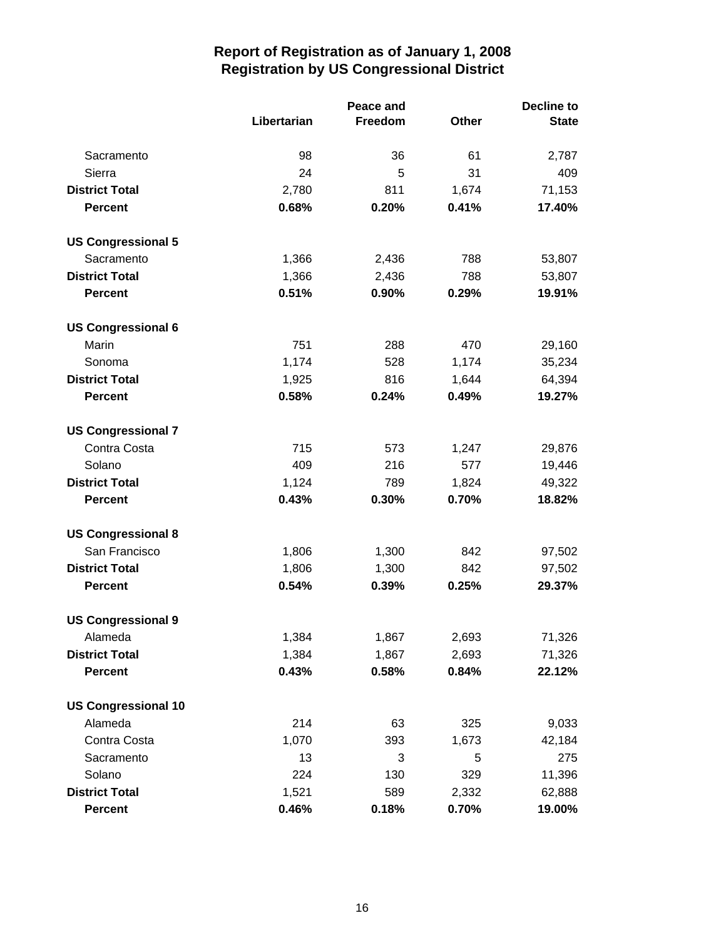|                            |             | <b>Peace and</b> |       | <b>Decline to</b> |  |
|----------------------------|-------------|------------------|-------|-------------------|--|
|                            | Libertarian | Freedom          | Other | <b>State</b>      |  |
| Sacramento                 | 98          | 36               | 61    | 2,787             |  |
| Sierra                     | 24          | 5                | 31    | 409               |  |
| <b>District Total</b>      | 2,780       | 811              | 1,674 | 71,153            |  |
| <b>Percent</b>             | 0.68%       | 0.20%            | 0.41% | 17.40%            |  |
| <b>US Congressional 5</b>  |             |                  |       |                   |  |
| Sacramento                 | 1,366       | 2,436            | 788   | 53,807            |  |
| <b>District Total</b>      | 1,366       | 2,436            | 788   | 53,807            |  |
| <b>Percent</b>             | 0.51%       | 0.90%            | 0.29% | 19.91%            |  |
| <b>US Congressional 6</b>  |             |                  |       |                   |  |
| Marin                      | 751         | 288              | 470   | 29,160            |  |
| Sonoma                     | 1,174       | 528              | 1,174 | 35,234            |  |
| <b>District Total</b>      | 1,925       | 816              | 1,644 | 64,394            |  |
| <b>Percent</b>             | 0.58%       | 0.24%            | 0.49% | 19.27%            |  |
| <b>US Congressional 7</b>  |             |                  |       |                   |  |
| Contra Costa               | 715         | 573              | 1,247 | 29,876            |  |
| Solano                     | 409         | 216              | 577   | 19,446            |  |
| <b>District Total</b>      | 1,124       | 789              | 1,824 | 49,322            |  |
| <b>Percent</b>             | 0.43%       | 0.30%            | 0.70% | 18.82%            |  |
| <b>US Congressional 8</b>  |             |                  |       |                   |  |
| San Francisco              | 1,806       | 1,300            | 842   | 97,502            |  |
| <b>District Total</b>      | 1,806       | 1,300            | 842   | 97,502            |  |
| <b>Percent</b>             | 0.54%       | 0.39%            | 0.25% | 29.37%            |  |
| <b>US Congressional 9</b>  |             |                  |       |                   |  |
| Alameda                    | 1,384       | 1,867            | 2,693 | 71,326            |  |
| <b>District Total</b>      | 1,384       | 1,867            | 2,693 | 71,326            |  |
| <b>Percent</b>             | 0.43%       | 0.58%            | 0.84% | 22.12%            |  |
| <b>US Congressional 10</b> |             |                  |       |                   |  |
| Alameda                    | 214         | 63               | 325   | 9,033             |  |
| Contra Costa               | 1,070       | 393              | 1,673 | 42,184            |  |
| Sacramento                 | 13          | 3                | 5     | 275               |  |
| Solano                     | 224         | 130              | 329   | 11,396            |  |
| <b>District Total</b>      | 1,521       | 589              | 2,332 | 62,888            |  |
| <b>Percent</b>             | 0.46%       | 0.18%            | 0.70% | 19.00%            |  |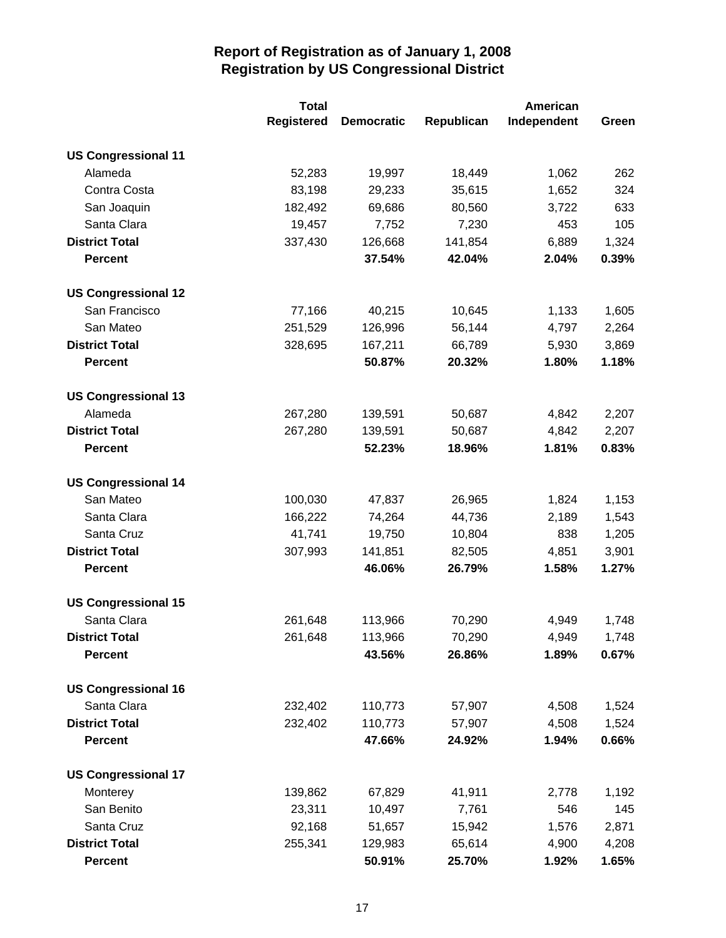|                            | <b>Total</b>      |                   |            | American    |       |
|----------------------------|-------------------|-------------------|------------|-------------|-------|
|                            | <b>Registered</b> | <b>Democratic</b> | Republican | Independent | Green |
| <b>US Congressional 11</b> |                   |                   |            |             |       |
| Alameda                    | 52,283            | 19,997            | 18,449     | 1,062       | 262   |
| Contra Costa               | 83,198            | 29,233            | 35,615     | 1,652       | 324   |
| San Joaquin                | 182,492           | 69,686            | 80,560     | 3,722       | 633   |
| Santa Clara                | 19,457            | 7,752             | 7,230      | 453         | 105   |
| <b>District Total</b>      | 337,430           | 126,668           | 141,854    | 6,889       | 1,324 |
| <b>Percent</b>             |                   | 37.54%            | 42.04%     | 2.04%       | 0.39% |
| <b>US Congressional 12</b> |                   |                   |            |             |       |
| San Francisco              | 77,166            | 40,215            | 10,645     | 1,133       | 1,605 |
| San Mateo                  | 251,529           | 126,996           | 56,144     | 4,797       | 2,264 |
| <b>District Total</b>      | 328,695           | 167,211           | 66,789     | 5,930       | 3,869 |
| <b>Percent</b>             |                   | 50.87%            | 20.32%     | 1.80%       | 1.18% |
| <b>US Congressional 13</b> |                   |                   |            |             |       |
| Alameda                    | 267,280           | 139,591           | 50,687     | 4,842       | 2,207 |
| <b>District Total</b>      | 267,280           | 139,591           | 50,687     | 4,842       | 2,207 |
| <b>Percent</b>             |                   | 52.23%            | 18.96%     | 1.81%       | 0.83% |
| <b>US Congressional 14</b> |                   |                   |            |             |       |
| San Mateo                  | 100,030           | 47,837            | 26,965     | 1,824       | 1,153 |
| Santa Clara                | 166,222           | 74,264            | 44,736     | 2,189       | 1,543 |
| Santa Cruz                 | 41,741            | 19,750            | 10,804     | 838         | 1,205 |
| <b>District Total</b>      | 307,993           | 141,851           | 82,505     | 4,851       | 3,901 |
| <b>Percent</b>             |                   | 46.06%            | 26.79%     | 1.58%       | 1.27% |
| <b>US Congressional 15</b> |                   |                   |            |             |       |
| Santa Clara                | 261,648           | 113,966           | 70,290     | 4,949       | 1,748 |
| <b>District Total</b>      | 261,648           | 113,966           | 70,290     | 4,949       | 1,748 |
| <b>Percent</b>             |                   | 43.56%            | 26.86%     | 1.89%       | 0.67% |
| <b>US Congressional 16</b> |                   |                   |            |             |       |
| Santa Clara                | 232,402           | 110,773           | 57,907     | 4,508       | 1,524 |
| <b>District Total</b>      | 232,402           | 110,773           | 57,907     | 4,508       | 1,524 |
| <b>Percent</b>             |                   | 47.66%            | 24.92%     | 1.94%       | 0.66% |
| <b>US Congressional 17</b> |                   |                   |            |             |       |
| Monterey                   | 139,862           | 67,829            | 41,911     | 2,778       | 1,192 |
| San Benito                 | 23,311            | 10,497            | 7,761      | 546         | 145   |
| Santa Cruz                 | 92,168            | 51,657            | 15,942     | 1,576       | 2,871 |
| <b>District Total</b>      | 255,341           | 129,983           | 65,614     | 4,900       | 4,208 |
| <b>Percent</b>             |                   | 50.91%            | 25.70%     | 1.92%       | 1.65% |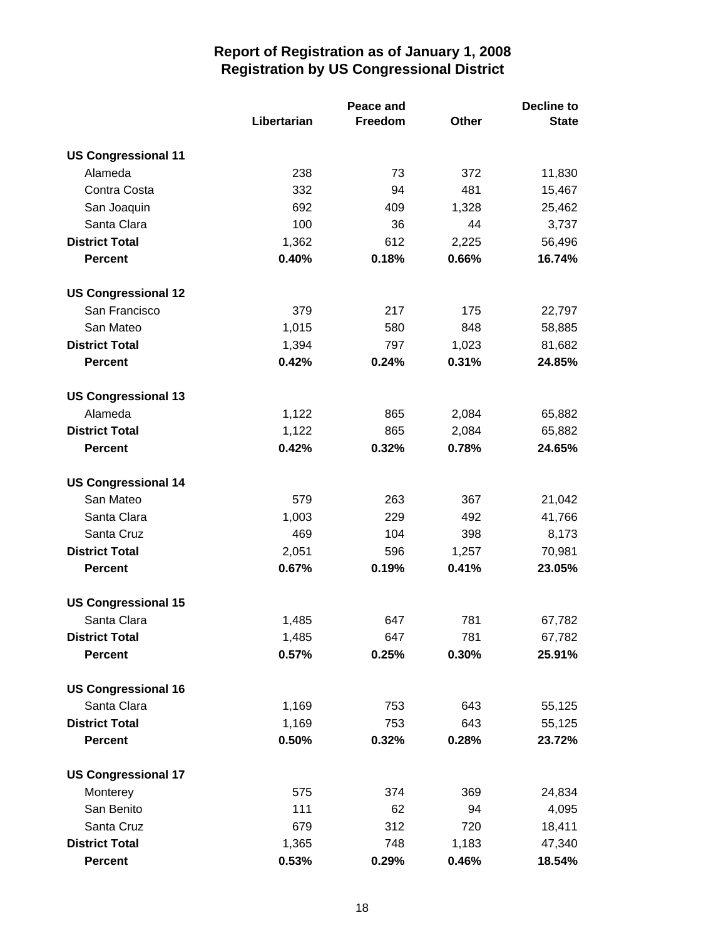|                            | Libertarian | Peace and<br>Freedom | Other | <b>Decline to</b><br><b>State</b> |
|----------------------------|-------------|----------------------|-------|-----------------------------------|
| <b>US Congressional 11</b> |             |                      |       |                                   |
| Alameda                    | 238         | 73                   | 372   | 11,830                            |
| Contra Costa               | 332         | 94                   | 481   | 15,467                            |
| San Joaquin                | 692         | 409                  | 1,328 | 25,462                            |
| Santa Clara                | 100         | 36                   | 44    | 3,737                             |
| <b>District Total</b>      | 1,362       | 612                  | 2,225 | 56,496                            |
| <b>Percent</b>             | 0.40%       | 0.18%                | 0.66% | 16.74%                            |
| <b>US Congressional 12</b> |             |                      |       |                                   |
| San Francisco              | 379         | 217                  | 175   | 22,797                            |
| San Mateo                  | 1,015       | 580                  | 848   | 58,885                            |
| <b>District Total</b>      | 1,394       | 797                  | 1,023 | 81,682                            |
| <b>Percent</b>             | 0.42%       | 0.24%                | 0.31% | 24.85%                            |
| <b>US Congressional 13</b> |             |                      |       |                                   |
| Alameda                    | 1,122       | 865                  | 2,084 | 65,882                            |
| <b>District Total</b>      | 1,122       | 865                  | 2,084 | 65,882                            |
| <b>Percent</b>             | 0.42%       | 0.32%                | 0.78% | 24.65%                            |
| <b>US Congressional 14</b> |             |                      |       |                                   |
| San Mateo                  | 579         | 263                  | 367   | 21,042                            |
| Santa Clara                | 1,003       | 229                  | 492   | 41,766                            |
| Santa Cruz                 | 469         | 104                  | 398   | 8,173                             |
| <b>District Total</b>      | 2,051       | 596                  | 1,257 | 70,981                            |
| <b>Percent</b>             | 0.67%       | 0.19%                | 0.41% | 23.05%                            |
| <b>US Congressional 15</b> |             |                      |       |                                   |
| Santa Clara                | 1,485       | 647                  | 781   | 67,782                            |
| <b>District Total</b>      | 1,485       | 647                  | 781   | 67,782                            |
| <b>Percent</b>             | 0.57%       | 0.25%                | 0.30% | 25.91%                            |
| <b>US Congressional 16</b> |             |                      |       |                                   |
| Santa Clara                | 1,169       | 753                  | 643   | 55,125                            |
| <b>District Total</b>      | 1,169       | 753                  | 643   | 55,125                            |
| <b>Percent</b>             | 0.50%       | 0.32%                | 0.28% | 23.72%                            |
| <b>US Congressional 17</b> |             |                      |       |                                   |
| Monterey                   | 575         | 374                  | 369   | 24,834                            |
| San Benito                 | 111         | 62                   | 94    | 4,095                             |
| Santa Cruz                 | 679         | 312                  | 720   | 18,411                            |
| <b>District Total</b>      | 1,365       | 748                  | 1,183 | 47,340                            |
| <b>Percent</b>             | 0.53%       | 0.29%                | 0.46% | 18.54%                            |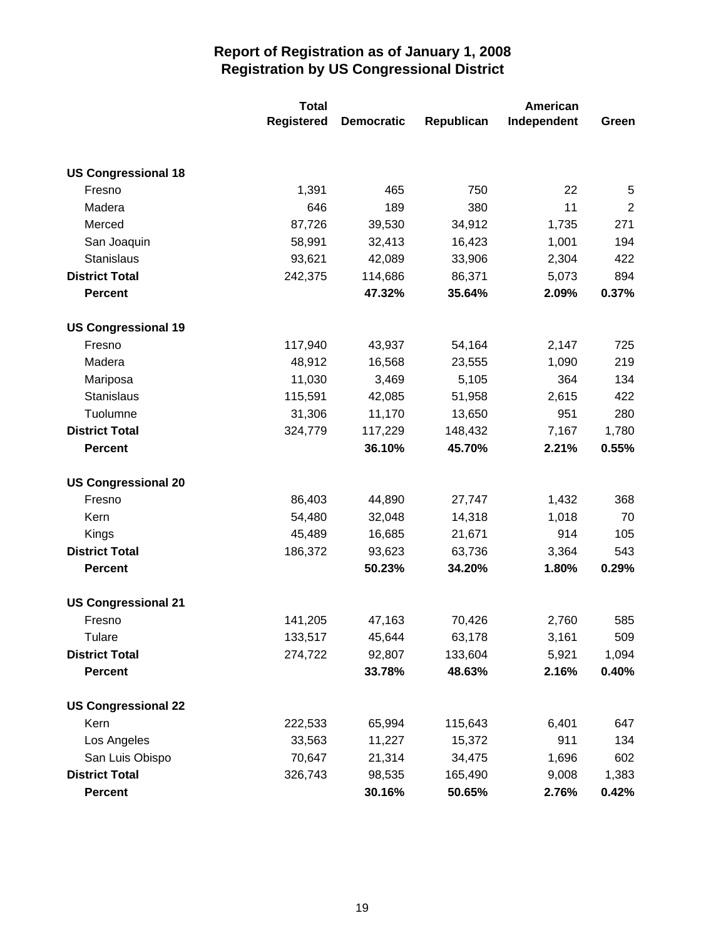|                            | <b>Total</b>      |                   |            | American    |                |
|----------------------------|-------------------|-------------------|------------|-------------|----------------|
|                            | <b>Registered</b> | <b>Democratic</b> | Republican | Independent | Green          |
|                            |                   |                   |            |             |                |
| <b>US Congressional 18</b> |                   |                   |            |             |                |
| Fresno                     | 1,391             | 465               | 750        | 22          | 5              |
| Madera                     | 646               | 189               | 380        | 11          | $\overline{2}$ |
| Merced                     | 87,726            | 39,530            | 34,912     | 1,735       | 271            |
| San Joaquin                | 58,991            | 32,413            | 16,423     | 1,001       | 194            |
| Stanislaus                 | 93,621            | 42,089            | 33,906     | 2,304       | 422            |
| <b>District Total</b>      | 242,375           | 114,686           | 86,371     | 5,073       | 894            |
| <b>Percent</b>             |                   | 47.32%            | 35.64%     | 2.09%       | 0.37%          |
| <b>US Congressional 19</b> |                   |                   |            |             |                |
| Fresno                     | 117,940           | 43,937            | 54,164     | 2,147       | 725            |
| Madera                     | 48,912            | 16,568            | 23,555     | 1,090       | 219            |
| Mariposa                   | 11,030            | 3,469             | 5,105      | 364         | 134            |
| Stanislaus                 | 115,591           | 42,085            | 51,958     | 2,615       | 422            |
| Tuolumne                   | 31,306            | 11,170            | 13,650     | 951         | 280            |
| <b>District Total</b>      | 324,779           | 117,229           | 148,432    | 7,167       | 1,780          |
| <b>Percent</b>             |                   | 36.10%            | 45.70%     | 2.21%       | 0.55%          |
| <b>US Congressional 20</b> |                   |                   |            |             |                |
| Fresno                     | 86,403            | 44,890            | 27,747     | 1,432       | 368            |
| Kern                       | 54,480            | 32,048            | 14,318     | 1,018       | 70             |
| Kings                      | 45,489            | 16,685            | 21,671     | 914         | 105            |
| <b>District Total</b>      | 186,372           | 93,623            | 63,736     | 3,364       | 543            |
| <b>Percent</b>             |                   | 50.23%            | 34.20%     | 1.80%       | 0.29%          |
| <b>US Congressional 21</b> |                   |                   |            |             |                |
| Fresno                     | 141,205           | 47,163            | 70,426     | 2,760       | 585            |
| <b>Tulare</b>              | 133,517           | 45,644            | 63,178     | 3,161       | 509            |
| <b>District Total</b>      | 274,722           | 92,807            | 133,604    | 5,921       | 1,094          |
| <b>Percent</b>             |                   | 33.78%            | 48.63%     | 2.16%       | 0.40%          |
| <b>US Congressional 22</b> |                   |                   |            |             |                |
| Kern                       | 222,533           | 65,994            | 115,643    | 6,401       | 647            |
| Los Angeles                | 33,563            | 11,227            | 15,372     | 911         | 134            |
| San Luis Obispo            | 70,647            | 21,314            | 34,475     | 1,696       | 602            |
| <b>District Total</b>      | 326,743           | 98,535            | 165,490    | 9,008       | 1,383          |
| <b>Percent</b>             |                   | 30.16%            | 50.65%     | 2.76%       | 0.42%          |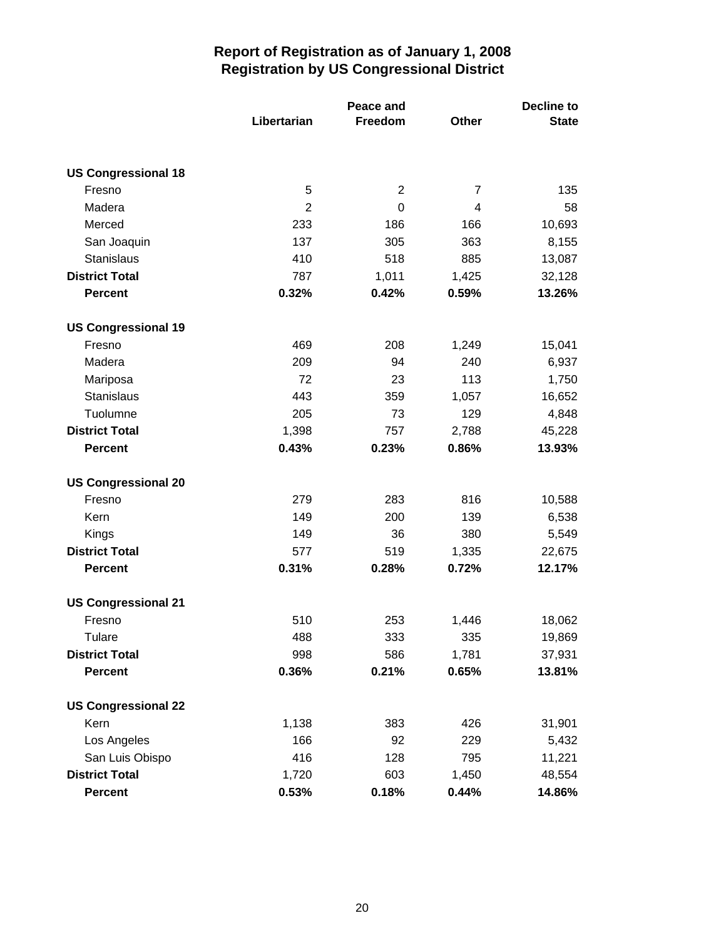|                            | Libertarian    | Peace and<br>Freedom | Other          | <b>Decline to</b><br><b>State</b> |
|----------------------------|----------------|----------------------|----------------|-----------------------------------|
| <b>US Congressional 18</b> |                |                      |                |                                   |
| Fresno                     | 5              | $\overline{2}$       | $\overline{7}$ | 135                               |
| Madera                     | $\overline{2}$ | 0                    | 4              | 58                                |
| Merced                     | 233            | 186                  | 166            | 10,693                            |
| San Joaquin                | 137            | 305                  | 363            | 8,155                             |
| Stanislaus                 | 410            | 518                  | 885            | 13,087                            |
| <b>District Total</b>      | 787            | 1,011                | 1,425          | 32,128                            |
| <b>Percent</b>             | 0.32%          | 0.42%                | 0.59%          | 13.26%                            |
| <b>US Congressional 19</b> |                |                      |                |                                   |
| Fresno                     | 469            | 208                  | 1,249          | 15,041                            |
| Madera                     | 209            | 94                   | 240            | 6,937                             |
| Mariposa                   | 72             | 23                   | 113            | 1,750                             |
| Stanislaus                 | 443            | 359                  | 1,057          | 16,652                            |
| Tuolumne                   | 205            | 73                   | 129            | 4,848                             |
| <b>District Total</b>      | 1,398          | 757                  | 2,788          | 45,228                            |
| <b>Percent</b>             | 0.43%          | 0.23%                | 0.86%          | 13.93%                            |
| <b>US Congressional 20</b> |                |                      |                |                                   |
| Fresno                     | 279            | 283                  | 816            | 10,588                            |
| Kern                       | 149            | 200                  | 139            | 6,538                             |
| Kings                      | 149            | 36                   | 380            | 5,549                             |
| <b>District Total</b>      | 577            | 519                  | 1,335          | 22,675                            |
| <b>Percent</b>             | 0.31%          | 0.28%                | 0.72%          | 12.17%                            |
| <b>US Congressional 21</b> |                |                      |                |                                   |
| Fresno                     | 510            | 253                  | 1,446          | 18,062                            |
| Tulare                     | 488            | 333                  | 335            | 19,869                            |
| <b>District Total</b>      | 998            | 586                  | 1,781          | 37,931                            |
| <b>Percent</b>             | 0.36%          | 0.21%                | 0.65%          | 13.81%                            |
| <b>US Congressional 22</b> |                |                      |                |                                   |
| Kern                       | 1,138          | 383                  | 426            | 31,901                            |
| Los Angeles                | 166            | 92                   | 229            | 5,432                             |
| San Luis Obispo            | 416            | 128                  | 795            | 11,221                            |
| <b>District Total</b>      | 1,720          | 603                  | 1,450          | 48,554                            |
| <b>Percent</b>             | 0.53%          | 0.18%                | 0.44%          | 14.86%                            |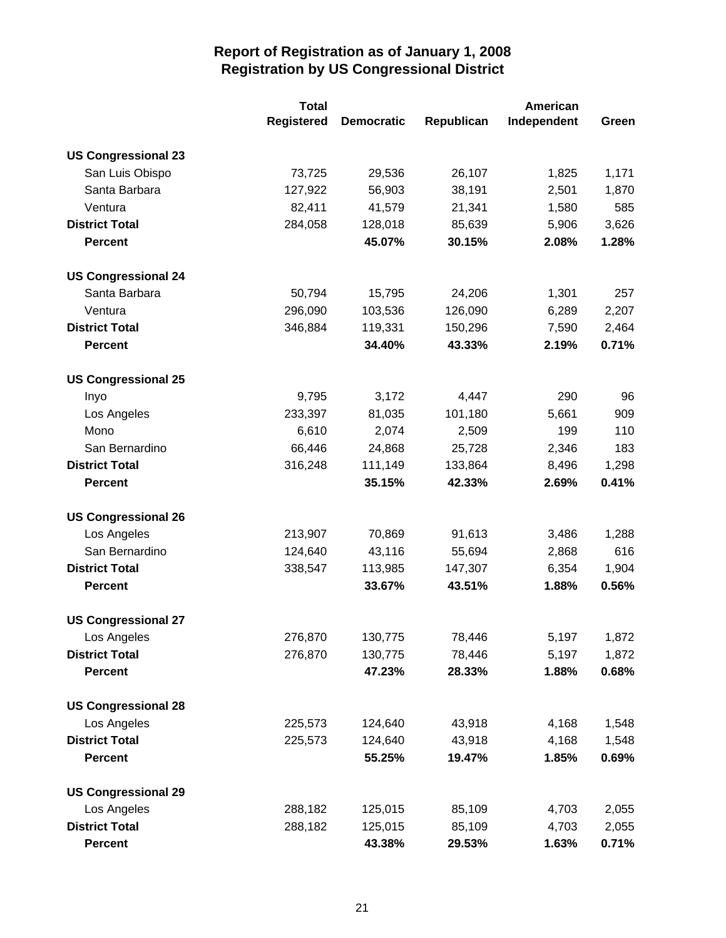|                            | <b>Total</b>      | American          |            |             |       |
|----------------------------|-------------------|-------------------|------------|-------------|-------|
|                            | <b>Registered</b> | <b>Democratic</b> | Republican | Independent | Green |
| <b>US Congressional 23</b> |                   |                   |            |             |       |
| San Luis Obispo            | 73,725            | 29,536            | 26,107     | 1,825       | 1,171 |
| Santa Barbara              | 127,922           | 56,903            | 38,191     | 2,501       | 1,870 |
| Ventura                    | 82,411            | 41,579            | 21,341     | 1,580       | 585   |
| <b>District Total</b>      | 284,058           | 128,018           | 85,639     | 5,906       | 3,626 |
| <b>Percent</b>             |                   | 45.07%            | 30.15%     | 2.08%       | 1.28% |
| <b>US Congressional 24</b> |                   |                   |            |             |       |
| Santa Barbara              | 50,794            | 15,795            | 24,206     | 1,301       | 257   |
| Ventura                    | 296,090           | 103,536           | 126,090    | 6,289       | 2,207 |
| <b>District Total</b>      | 346,884           | 119,331           | 150,296    | 7,590       | 2,464 |
| <b>Percent</b>             |                   | 34.40%            | 43.33%     | 2.19%       | 0.71% |
| <b>US Congressional 25</b> |                   |                   |            |             |       |
| Inyo                       | 9,795             | 3,172             | 4,447      | 290         | 96    |
| Los Angeles                | 233,397           | 81,035            | 101,180    | 5,661       | 909   |
| Mono                       | 6,610             | 2,074             | 2,509      | 199         | 110   |
| San Bernardino             | 66,446            | 24,868            | 25,728     | 2,346       | 183   |
| <b>District Total</b>      | 316,248           | 111,149           | 133,864    | 8,496       | 1,298 |
| <b>Percent</b>             |                   | 35.15%            | 42.33%     | 2.69%       | 0.41% |
| <b>US Congressional 26</b> |                   |                   |            |             |       |
| Los Angeles                | 213,907           | 70,869            | 91,613     | 3,486       | 1,288 |
| San Bernardino             | 124,640           | 43,116            | 55,694     | 2,868       | 616   |
| <b>District Total</b>      | 338,547           | 113,985           | 147,307    | 6,354       | 1,904 |
| <b>Percent</b>             |                   | 33.67%            | 43.51%     | 1.88%       | 0.56% |
| <b>US Congressional 27</b> |                   |                   |            |             |       |
| Los Angeles                | 276,870           | 130,775           | 78,446     | 5,197       | 1,872 |
| <b>District Total</b>      | 276,870           | 130,775           | 78,446     | 5,197       | 1,872 |
| <b>Percent</b>             |                   | 47.23%            | 28.33%     | 1.88%       | 0.68% |
| <b>US Congressional 28</b> |                   |                   |            |             |       |
| Los Angeles                | 225,573           | 124,640           | 43,918     | 4,168       | 1,548 |
| <b>District Total</b>      | 225,573           | 124,640           | 43,918     | 4,168       | 1,548 |
| <b>Percent</b>             |                   | 55.25%            | 19.47%     | 1.85%       | 0.69% |
| <b>US Congressional 29</b> |                   |                   |            |             |       |
| Los Angeles                | 288,182           | 125,015           | 85,109     | 4,703       | 2,055 |
| <b>District Total</b>      | 288,182           | 125,015           | 85,109     | 4,703       | 2,055 |
| <b>Percent</b>             |                   | 43.38%            | 29.53%     | 1.63%       | 0.71% |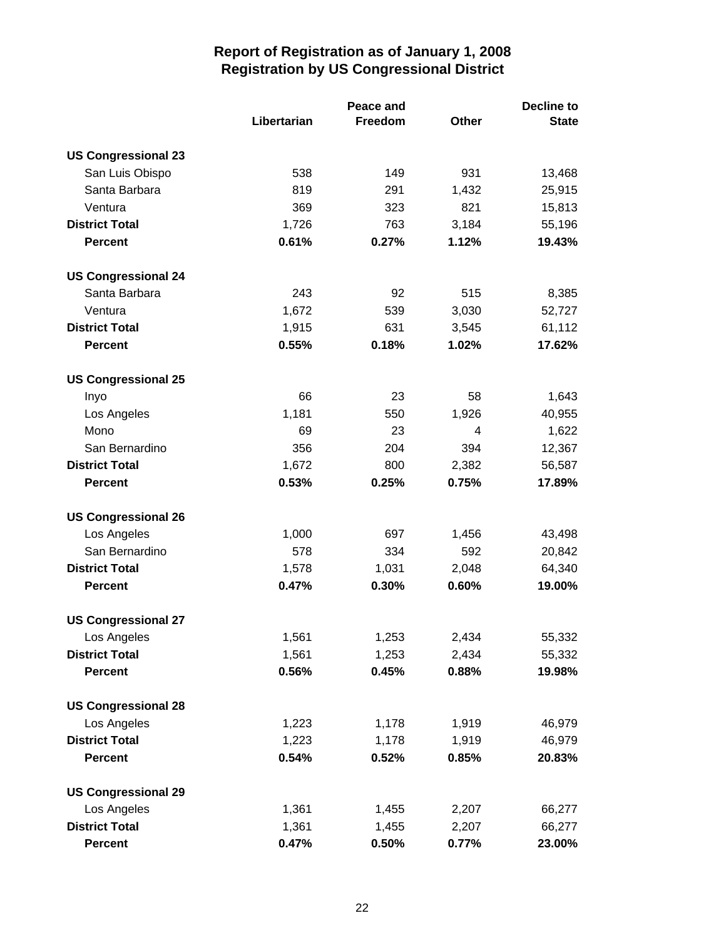|                            | Libertarian | Peace and<br>Freedom | <b>Other</b> | <b>Decline to</b><br><b>State</b> |
|----------------------------|-------------|----------------------|--------------|-----------------------------------|
| <b>US Congressional 23</b> |             |                      |              |                                   |
| San Luis Obispo            | 538         | 149                  | 931          | 13,468                            |
| Santa Barbara              | 819         | 291                  | 1,432        | 25,915                            |
| Ventura                    | 369         | 323                  | 821          | 15,813                            |
| <b>District Total</b>      | 1,726       | 763                  | 3,184        | 55,196                            |
| <b>Percent</b>             | 0.61%       | 0.27%                | 1.12%        | 19.43%                            |
| <b>US Congressional 24</b> |             |                      |              |                                   |
| Santa Barbara              | 243         | 92                   | 515          | 8,385                             |
| Ventura                    | 1,672       | 539                  | 3,030        | 52,727                            |
| <b>District Total</b>      | 1,915       | 631                  | 3,545        | 61,112                            |
| <b>Percent</b>             | 0.55%       | 0.18%                | 1.02%        | 17.62%                            |
| <b>US Congressional 25</b> |             |                      |              |                                   |
| Inyo                       | 66          | 23                   | 58           | 1,643                             |
| Los Angeles                | 1,181       | 550                  | 1,926        | 40,955                            |
| Mono                       | 69          | 23                   | 4            | 1,622                             |
| San Bernardino             | 356         | 204                  | 394          | 12,367                            |
| <b>District Total</b>      | 1,672       | 800                  | 2,382        | 56,587                            |
| <b>Percent</b>             | 0.53%       | 0.25%                | 0.75%        | 17.89%                            |
| <b>US Congressional 26</b> |             |                      |              |                                   |
| Los Angeles                | 1,000       | 697                  | 1,456        | 43,498                            |
| San Bernardino             | 578         | 334                  | 592          | 20,842                            |
| <b>District Total</b>      | 1,578       | 1,031                | 2,048        | 64,340                            |
| <b>Percent</b>             | 0.47%       | 0.30%                | 0.60%        | 19.00%                            |
| <b>US Congressional 27</b> |             |                      |              |                                   |
| Los Angeles                | 1,561       | 1,253                | 2,434        | 55,332                            |
| <b>District Total</b>      | 1,561       | 1,253                | 2,434        | 55,332                            |
| <b>Percent</b>             | 0.56%       | 0.45%                | 0.88%        | 19.98%                            |
| <b>US Congressional 28</b> |             |                      |              |                                   |
| Los Angeles                | 1,223       | 1,178                | 1,919        | 46,979                            |
| <b>District Total</b>      | 1,223       | 1,178                | 1,919        | 46,979                            |
| <b>Percent</b>             | 0.54%       | 0.52%                | 0.85%        | 20.83%                            |
| <b>US Congressional 29</b> |             |                      |              |                                   |
| Los Angeles                | 1,361       | 1,455                | 2,207        | 66,277                            |
| <b>District Total</b>      | 1,361       | 1,455                | 2,207        | 66,277                            |
| <b>Percent</b>             | 0.47%       | 0.50%                | 0.77%        | 23.00%                            |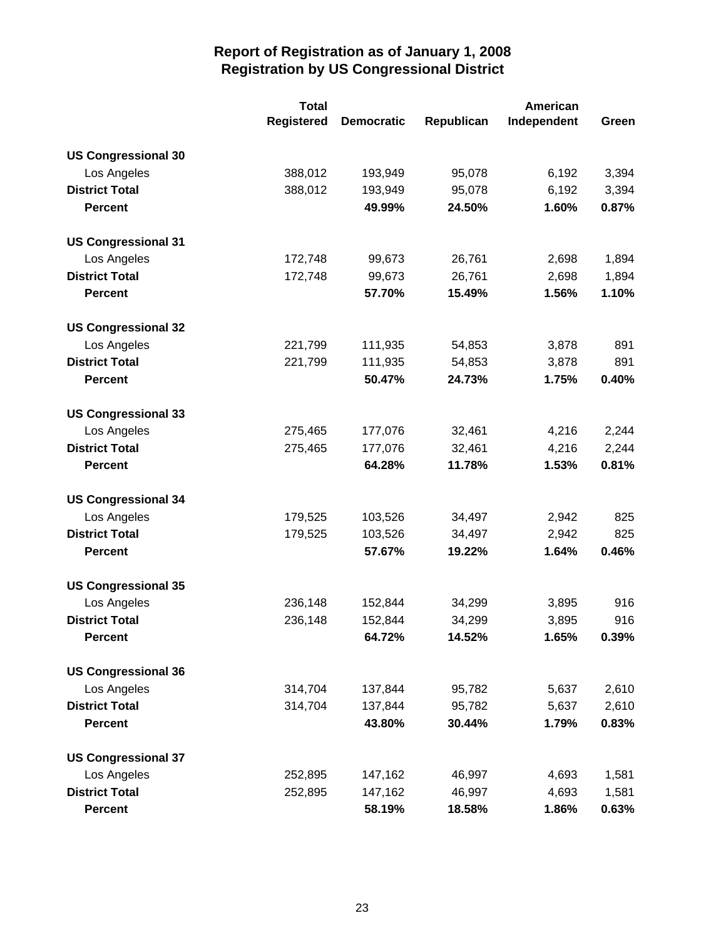|                            | <b>Total</b>      | American          |            |             |       |
|----------------------------|-------------------|-------------------|------------|-------------|-------|
|                            | <b>Registered</b> | <b>Democratic</b> | Republican | Independent | Green |
| <b>US Congressional 30</b> |                   |                   |            |             |       |
| Los Angeles                | 388,012           | 193,949           | 95,078     | 6,192       | 3,394 |
| <b>District Total</b>      | 388,012           | 193,949           | 95,078     | 6,192       | 3,394 |
| <b>Percent</b>             |                   | 49.99%            | 24.50%     | 1.60%       | 0.87% |
| <b>US Congressional 31</b> |                   |                   |            |             |       |
| Los Angeles                | 172,748           | 99,673            | 26,761     | 2,698       | 1,894 |
| <b>District Total</b>      | 172,748           | 99,673            | 26,761     | 2,698       | 1,894 |
| <b>Percent</b>             |                   | 57.70%            | 15.49%     | 1.56%       | 1.10% |
| <b>US Congressional 32</b> |                   |                   |            |             |       |
| Los Angeles                | 221,799           | 111,935           | 54,853     | 3,878       | 891   |
| <b>District Total</b>      | 221,799           | 111,935           | 54,853     | 3,878       | 891   |
| <b>Percent</b>             |                   | 50.47%            | 24.73%     | 1.75%       | 0.40% |
| <b>US Congressional 33</b> |                   |                   |            |             |       |
| Los Angeles                | 275,465           | 177,076           | 32,461     | 4,216       | 2,244 |
| <b>District Total</b>      | 275,465           | 177,076           | 32,461     | 4,216       | 2,244 |
| <b>Percent</b>             |                   | 64.28%            | 11.78%     | 1.53%       | 0.81% |
| <b>US Congressional 34</b> |                   |                   |            |             |       |
| Los Angeles                | 179,525           | 103,526           | 34,497     | 2,942       | 825   |
| <b>District Total</b>      | 179,525           | 103,526           | 34,497     | 2,942       | 825   |
| <b>Percent</b>             |                   | 57.67%            | 19.22%     | 1.64%       | 0.46% |
| <b>US Congressional 35</b> |                   |                   |            |             |       |
| Los Angeles                | 236,148           | 152,844           | 34,299     | 3,895       | 916   |
| <b>District Total</b>      | 236,148           | 152,844           | 34,299     | 3,895       | 916   |
| <b>Percent</b>             |                   | 64.72%            | 14.52%     | 1.65%       | 0.39% |
| <b>US Congressional 36</b> |                   |                   |            |             |       |
| Los Angeles                | 314,704           | 137,844           | 95,782     | 5,637       | 2,610 |
| <b>District Total</b>      | 314,704           | 137,844           | 95,782     | 5,637       | 2,610 |
| <b>Percent</b>             |                   | 43.80%            | 30.44%     | 1.79%       | 0.83% |
| <b>US Congressional 37</b> |                   |                   |            |             |       |
| Los Angeles                | 252,895           | 147,162           | 46,997     | 4,693       | 1,581 |
| <b>District Total</b>      | 252,895           | 147,162           | 46,997     | 4,693       | 1,581 |
| <b>Percent</b>             |                   | 58.19%            | 18.58%     | 1.86%       | 0.63% |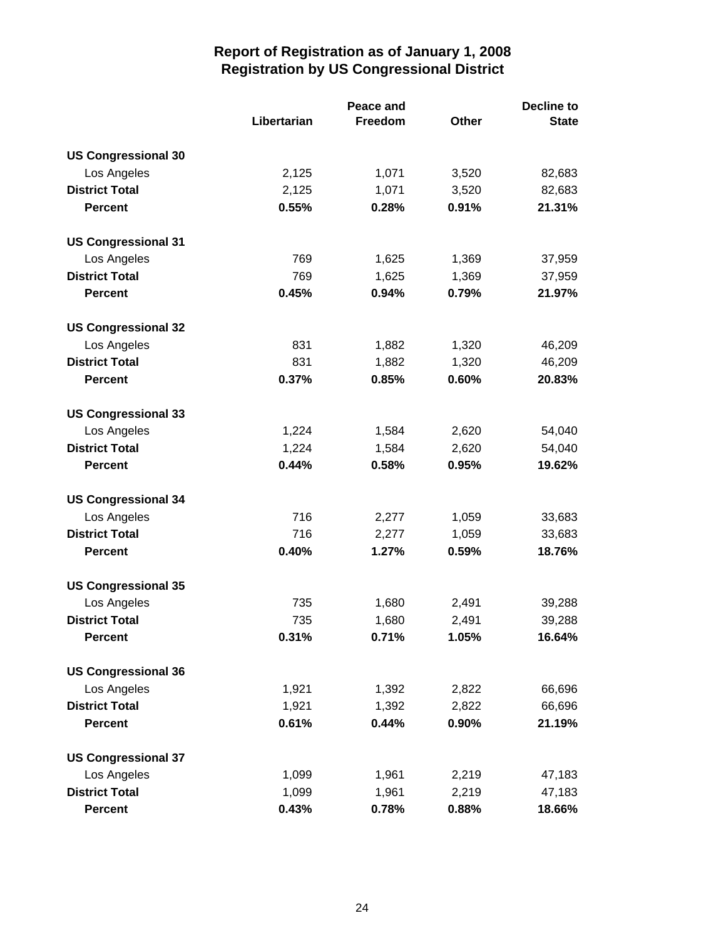|                            |             | Peace and |       | <b>Decline to</b> |  |
|----------------------------|-------------|-----------|-------|-------------------|--|
|                            | Libertarian | Freedom   | Other | <b>State</b>      |  |
| <b>US Congressional 30</b> |             |           |       |                   |  |
| Los Angeles                | 2,125       | 1,071     | 3,520 | 82,683            |  |
| <b>District Total</b>      | 2,125       | 1,071     | 3,520 | 82,683            |  |
| <b>Percent</b>             | 0.55%       | 0.28%     | 0.91% | 21.31%            |  |
| <b>US Congressional 31</b> |             |           |       |                   |  |
| Los Angeles                | 769         | 1,625     | 1,369 | 37,959            |  |
| <b>District Total</b>      | 769         | 1,625     | 1,369 | 37,959            |  |
| <b>Percent</b>             | 0.45%       | 0.94%     | 0.79% | 21.97%            |  |
| <b>US Congressional 32</b> |             |           |       |                   |  |
| Los Angeles                | 831         | 1,882     | 1,320 | 46,209            |  |
| <b>District Total</b>      | 831         | 1,882     | 1,320 | 46,209            |  |
| <b>Percent</b>             | 0.37%       | 0.85%     | 0.60% | 20.83%            |  |
| <b>US Congressional 33</b> |             |           |       |                   |  |
| Los Angeles                | 1,224       | 1,584     | 2,620 | 54,040            |  |
| <b>District Total</b>      | 1,224       | 1,584     | 2,620 | 54,040            |  |
| <b>Percent</b>             | 0.44%       | 0.58%     | 0.95% | 19.62%            |  |
| <b>US Congressional 34</b> |             |           |       |                   |  |
| Los Angeles                | 716         | 2,277     | 1,059 | 33,683            |  |
| <b>District Total</b>      | 716         | 2,277     | 1,059 | 33,683            |  |
| <b>Percent</b>             | 0.40%       | 1.27%     | 0.59% | 18.76%            |  |
| <b>US Congressional 35</b> |             |           |       |                   |  |
| Los Angeles                | 735         | 1,680     | 2,491 | 39,288            |  |
| <b>District Total</b>      | 735         | 1,680     | 2,491 | 39,288            |  |
| <b>Percent</b>             | 0.31%       | 0.71%     | 1.05% | 16.64%            |  |
| <b>US Congressional 36</b> |             |           |       |                   |  |
| Los Angeles                | 1,921       | 1,392     | 2,822 | 66,696            |  |
| <b>District Total</b>      | 1,921       | 1,392     | 2,822 | 66,696            |  |
| <b>Percent</b>             | 0.61%       | 0.44%     | 0.90% | 21.19%            |  |
| <b>US Congressional 37</b> |             |           |       |                   |  |
| Los Angeles                | 1,099       | 1,961     | 2,219 | 47,183            |  |
| <b>District Total</b>      | 1,099       | 1,961     | 2,219 | 47,183            |  |
| <b>Percent</b>             | 0.43%       | 0.78%     | 0.88% | 18.66%            |  |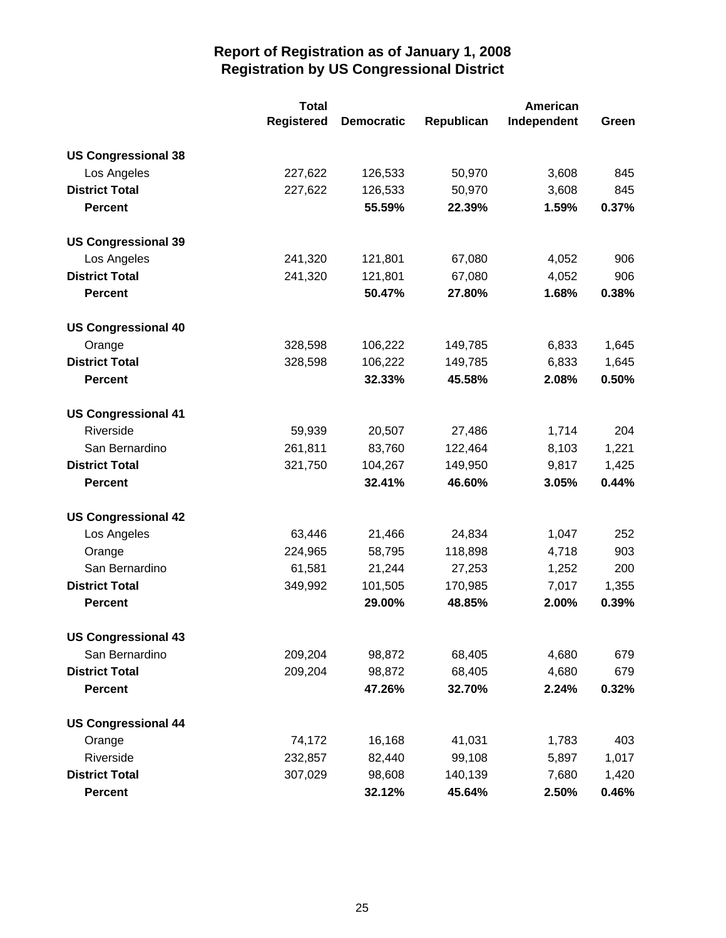|                            | <b>Total</b>      | <b>American</b>   |            |             |       |
|----------------------------|-------------------|-------------------|------------|-------------|-------|
|                            | <b>Registered</b> | <b>Democratic</b> | Republican | Independent | Green |
| <b>US Congressional 38</b> |                   |                   |            |             |       |
| Los Angeles                | 227,622           | 126,533           | 50,970     | 3,608       | 845   |
| <b>District Total</b>      | 227,622           | 126,533           | 50,970     | 3,608       | 845   |
| <b>Percent</b>             |                   | 55.59%            | 22.39%     | 1.59%       | 0.37% |
| <b>US Congressional 39</b> |                   |                   |            |             |       |
| Los Angeles                | 241,320           | 121,801           | 67,080     | 4,052       | 906   |
| <b>District Total</b>      | 241,320           | 121,801           | 67,080     | 4,052       | 906   |
| <b>Percent</b>             |                   | 50.47%            | 27.80%     | 1.68%       | 0.38% |
| <b>US Congressional 40</b> |                   |                   |            |             |       |
| Orange                     | 328,598           | 106,222           | 149,785    | 6,833       | 1,645 |
| <b>District Total</b>      | 328,598           | 106,222           | 149,785    | 6,833       | 1,645 |
| <b>Percent</b>             |                   | 32.33%            | 45.58%     | 2.08%       | 0.50% |
| <b>US Congressional 41</b> |                   |                   |            |             |       |
| Riverside                  | 59,939            | 20,507            | 27,486     | 1,714       | 204   |
| San Bernardino             | 261,811           | 83,760            | 122,464    | 8,103       | 1,221 |
| <b>District Total</b>      | 321,750           | 104,267           | 149,950    | 9,817       | 1,425 |
| <b>Percent</b>             |                   | 32.41%            | 46.60%     | 3.05%       | 0.44% |
| <b>US Congressional 42</b> |                   |                   |            |             |       |
| Los Angeles                | 63,446            | 21,466            | 24,834     | 1,047       | 252   |
| Orange                     | 224,965           | 58,795            | 118,898    | 4,718       | 903   |
| San Bernardino             | 61,581            | 21,244            | 27,253     | 1,252       | 200   |
| <b>District Total</b>      | 349,992           | 101,505           | 170,985    | 7,017       | 1,355 |
| <b>Percent</b>             |                   | 29.00%            | 48.85%     | 2.00%       | 0.39% |
| <b>US Congressional 43</b> |                   |                   |            |             |       |
| San Bernardino             | 209,204           | 98,872            | 68,405     | 4,680       | 679   |
| <b>District Total</b>      | 209,204           | 98,872            | 68,405     | 4,680       | 679   |
| <b>Percent</b>             |                   | 47.26%            | 32.70%     | 2.24%       | 0.32% |
| <b>US Congressional 44</b> |                   |                   |            |             |       |
| Orange                     | 74,172            | 16,168            | 41,031     | 1,783       | 403   |
| Riverside                  | 232,857           | 82,440            | 99,108     | 5,897       | 1,017 |
| <b>District Total</b>      | 307,029           | 98,608            | 140,139    | 7,680       | 1,420 |
| <b>Percent</b>             |                   | 32.12%            | 45.64%     | 2.50%       | 0.46% |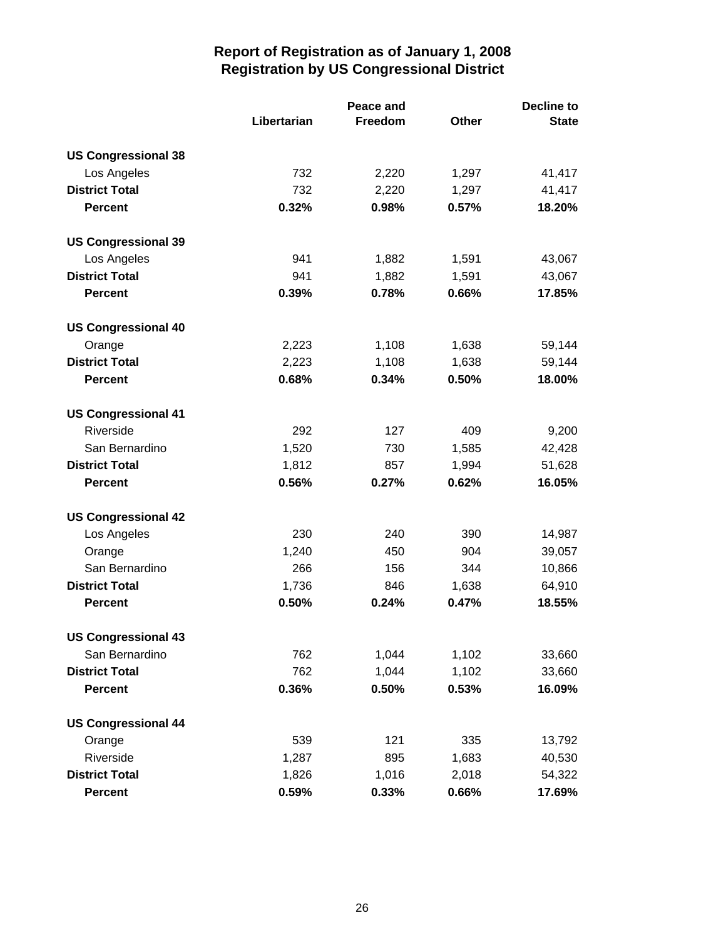|                            | Peace and   |         |       | <b>Decline to</b> |  |
|----------------------------|-------------|---------|-------|-------------------|--|
|                            | Libertarian | Freedom | Other | <b>State</b>      |  |
| <b>US Congressional 38</b> |             |         |       |                   |  |
| Los Angeles                | 732         | 2,220   | 1,297 | 41,417            |  |
| <b>District Total</b>      | 732         | 2,220   | 1,297 | 41,417            |  |
| <b>Percent</b>             | 0.32%       | 0.98%   | 0.57% | 18.20%            |  |
| <b>US Congressional 39</b> |             |         |       |                   |  |
| Los Angeles                | 941         | 1,882   | 1,591 | 43,067            |  |
| <b>District Total</b>      | 941         | 1,882   | 1,591 | 43,067            |  |
| <b>Percent</b>             | 0.39%       | 0.78%   | 0.66% | 17.85%            |  |
| <b>US Congressional 40</b> |             |         |       |                   |  |
| Orange                     | 2,223       | 1,108   | 1,638 | 59,144            |  |
| <b>District Total</b>      | 2,223       | 1,108   | 1,638 | 59,144            |  |
| <b>Percent</b>             | 0.68%       | 0.34%   | 0.50% | 18.00%            |  |
| <b>US Congressional 41</b> |             |         |       |                   |  |
| Riverside                  | 292         | 127     | 409   | 9,200             |  |
| San Bernardino             | 1,520       | 730     | 1,585 | 42,428            |  |
| <b>District Total</b>      | 1,812       | 857     | 1,994 | 51,628            |  |
| <b>Percent</b>             | 0.56%       | 0.27%   | 0.62% | 16.05%            |  |
| <b>US Congressional 42</b> |             |         |       |                   |  |
| Los Angeles                | 230         | 240     | 390   | 14,987            |  |
| Orange                     | 1,240       | 450     | 904   | 39,057            |  |
| San Bernardino             | 266         | 156     | 344   | 10,866            |  |
| <b>District Total</b>      | 1,736       | 846     | 1,638 | 64,910            |  |
| <b>Percent</b>             | 0.50%       | 0.24%   | 0.47% | 18.55%            |  |
| <b>US Congressional 43</b> |             |         |       |                   |  |
| San Bernardino             | 762         | 1,044   | 1,102 | 33,660            |  |
| <b>District Total</b>      | 762         | 1,044   | 1,102 | 33,660            |  |
| <b>Percent</b>             | 0.36%       | 0.50%   | 0.53% | 16.09%            |  |
| <b>US Congressional 44</b> |             |         |       |                   |  |
| Orange                     | 539         | 121     | 335   | 13,792            |  |
| Riverside                  | 1,287       | 895     | 1,683 | 40,530            |  |
| <b>District Total</b>      | 1,826       | 1,016   | 2,018 | 54,322            |  |
| <b>Percent</b>             | 0.59%       | 0.33%   | 0.66% | 17.69%            |  |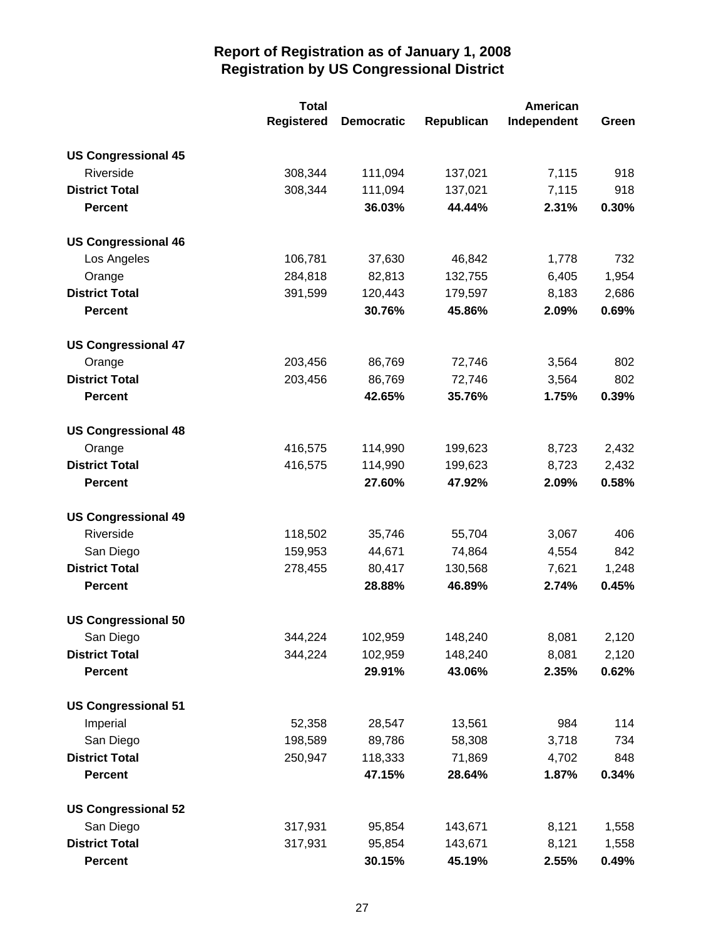|                            | <b>Total</b>      |                   | American   |             |       |
|----------------------------|-------------------|-------------------|------------|-------------|-------|
|                            | <b>Registered</b> | <b>Democratic</b> | Republican | Independent | Green |
| <b>US Congressional 45</b> |                   |                   |            |             |       |
| Riverside                  | 308,344           | 111,094           | 137,021    | 7,115       | 918   |
| <b>District Total</b>      | 308,344           | 111,094           | 137,021    | 7,115       | 918   |
| <b>Percent</b>             |                   | 36.03%            | 44.44%     | 2.31%       | 0.30% |
| <b>US Congressional 46</b> |                   |                   |            |             |       |
| Los Angeles                | 106,781           | 37,630            | 46,842     | 1,778       | 732   |
| Orange                     | 284,818           | 82,813            | 132,755    | 6,405       | 1,954 |
| <b>District Total</b>      | 391,599           | 120,443           | 179,597    | 8,183       | 2,686 |
| <b>Percent</b>             |                   | 30.76%            | 45.86%     | 2.09%       | 0.69% |
| <b>US Congressional 47</b> |                   |                   |            |             |       |
| Orange                     | 203,456           | 86,769            | 72,746     | 3,564       | 802   |
| <b>District Total</b>      | 203,456           | 86,769            | 72,746     | 3,564       | 802   |
| <b>Percent</b>             |                   | 42.65%            | 35.76%     | 1.75%       | 0.39% |
| <b>US Congressional 48</b> |                   |                   |            |             |       |
| Orange                     | 416,575           | 114,990           | 199,623    | 8,723       | 2,432 |
| <b>District Total</b>      | 416,575           | 114,990           | 199,623    | 8,723       | 2,432 |
| <b>Percent</b>             |                   | 27.60%            | 47.92%     | 2.09%       | 0.58% |
| <b>US Congressional 49</b> |                   |                   |            |             |       |
| Riverside                  | 118,502           | 35,746            | 55,704     | 3,067       | 406   |
| San Diego                  | 159,953           | 44,671            | 74,864     | 4,554       | 842   |
| <b>District Total</b>      | 278,455           | 80,417            | 130,568    | 7,621       | 1,248 |
| <b>Percent</b>             |                   | 28.88%            | 46.89%     | 2.74%       | 0.45% |
| <b>US Congressional 50</b> |                   |                   |            |             |       |
| San Diego                  | 344,224           | 102,959           | 148,240    | 8,081       | 2,120 |
| <b>District Total</b>      | 344,224           | 102,959           | 148,240    | 8,081       | 2,120 |
| <b>Percent</b>             |                   | 29.91%            | 43.06%     | 2.35%       | 0.62% |
| <b>US Congressional 51</b> |                   |                   |            |             |       |
| Imperial                   | 52,358            | 28,547            | 13,561     | 984         | 114   |
| San Diego                  | 198,589           | 89,786            | 58,308     | 3,718       | 734   |
| <b>District Total</b>      | 250,947           | 118,333           | 71,869     | 4,702       | 848   |
| <b>Percent</b>             |                   | 47.15%            | 28.64%     | 1.87%       | 0.34% |
| <b>US Congressional 52</b> |                   |                   |            |             |       |
| San Diego                  | 317,931           | 95,854            | 143,671    | 8,121       | 1,558 |
| <b>District Total</b>      | 317,931           | 95,854            | 143,671    | 8,121       | 1,558 |
| <b>Percent</b>             |                   | 30.15%            | 45.19%     | 2.55%       | 0.49% |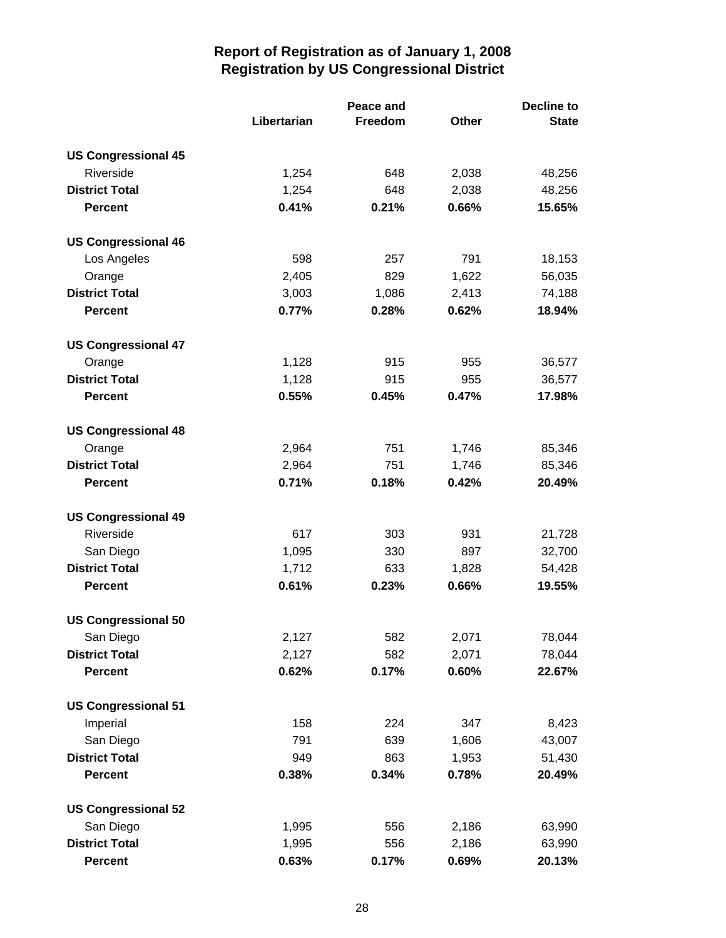|                            | <b>Peace and</b> |         |              | <b>Decline to</b> |  |
|----------------------------|------------------|---------|--------------|-------------------|--|
|                            | Libertarian      | Freedom | <b>Other</b> | <b>State</b>      |  |
| <b>US Congressional 45</b> |                  |         |              |                   |  |
| Riverside                  | 1,254            | 648     | 2,038        | 48,256            |  |
| <b>District Total</b>      | 1,254            | 648     | 2,038        | 48,256            |  |
| <b>Percent</b>             | 0.41%            | 0.21%   | 0.66%        | 15.65%            |  |
| <b>US Congressional 46</b> |                  |         |              |                   |  |
| Los Angeles                | 598              | 257     | 791          | 18,153            |  |
| Orange                     | 2,405            | 829     | 1,622        | 56,035            |  |
| <b>District Total</b>      | 3,003            | 1,086   | 2,413        | 74,188            |  |
| <b>Percent</b>             | 0.77%            | 0.28%   | 0.62%        | 18.94%            |  |
| <b>US Congressional 47</b> |                  |         |              |                   |  |
| Orange                     | 1,128            | 915     | 955          | 36,577            |  |
| <b>District Total</b>      | 1,128            | 915     | 955          | 36,577            |  |
| <b>Percent</b>             | 0.55%            | 0.45%   | 0.47%        | 17.98%            |  |
| <b>US Congressional 48</b> |                  |         |              |                   |  |
| Orange                     | 2,964            | 751     | 1,746        | 85,346            |  |
| <b>District Total</b>      | 2,964            | 751     | 1,746        | 85,346            |  |
| <b>Percent</b>             | 0.71%            | 0.18%   | 0.42%        | 20.49%            |  |
| <b>US Congressional 49</b> |                  |         |              |                   |  |
| Riverside                  | 617              | 303     | 931          | 21,728            |  |
| San Diego                  | 1,095            | 330     | 897          | 32,700            |  |
| <b>District Total</b>      | 1,712            | 633     | 1,828        | 54,428            |  |
| <b>Percent</b>             | 0.61%            | 0.23%   | 0.66%        | 19.55%            |  |
| <b>US Congressional 50</b> |                  |         |              |                   |  |
| San Diego                  | 2,127            | 582     | 2,071        | 78,044            |  |
| <b>District Total</b>      | 2,127            | 582     | 2,071        | 78,044            |  |
| <b>Percent</b>             | 0.62%            | 0.17%   | 0.60%        | 22.67%            |  |
| <b>US Congressional 51</b> |                  |         |              |                   |  |
| Imperial                   | 158              | 224     | 347          | 8,423             |  |
| San Diego                  | 791              | 639     | 1,606        | 43,007            |  |
| <b>District Total</b>      | 949              | 863     | 1,953        | 51,430            |  |
| <b>Percent</b>             | 0.38%            | 0.34%   | 0.78%        | 20.49%            |  |
| <b>US Congressional 52</b> |                  |         |              |                   |  |
| San Diego                  | 1,995            | 556     | 2,186        | 63,990            |  |
| <b>District Total</b>      | 1,995            | 556     | 2,186        | 63,990            |  |
| <b>Percent</b>             | 0.63%            | 0.17%   | 0.69%        | 20.13%            |  |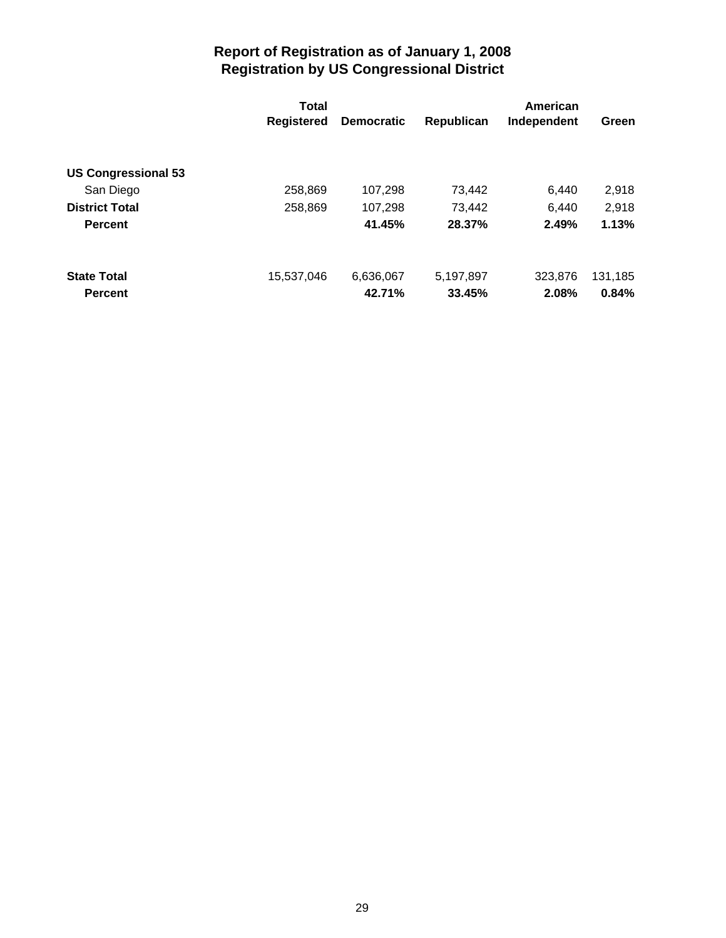|                            | Total             |                   | American   |             |         |  |
|----------------------------|-------------------|-------------------|------------|-------------|---------|--|
|                            | <b>Registered</b> | <b>Democratic</b> | Republican | Independent | Green   |  |
|                            |                   |                   |            |             |         |  |
| <b>US Congressional 53</b> |                   |                   |            |             |         |  |
| San Diego                  | 258,869           | 107,298           | 73,442     | 6,440       | 2,918   |  |
| <b>District Total</b>      | 258,869           | 107,298           | 73.442     | 6,440       | 2,918   |  |
| <b>Percent</b>             |                   | 41.45%            | 28.37%     | 2.49%       | 1.13%   |  |
| <b>State Total</b>         | 15,537,046        | 6,636,067         | 5,197,897  | 323,876     | 131,185 |  |
|                            |                   |                   |            |             |         |  |
| <b>Percent</b>             |                   | 42.71%            | 33.45%     | 2.08%       | 0.84%   |  |